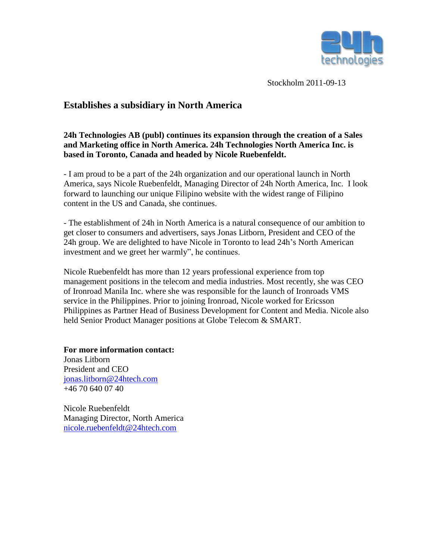

Stockholm 2011-09-13

## **Establishes a subsidiary in North America**

## **24h Technologies AB (publ) continues its expansion through the creation of a Sales and Marketing office in North America. 24h Technologies North America Inc. is based in Toronto, Canada and headed by Nicole Ruebenfeldt.**

- I am proud to be a part of the 24h organization and our operational launch in North America, says Nicole Ruebenfeldt, Managing Director of 24h North America, Inc. I look forward to launching our unique Filipino website with the widest range of Filipino content in the US and Canada, she continues.

- The establishment of 24h in North America is a natural consequence of our ambition to get closer to consumers and advertisers, says Jonas Litborn, President and CEO of the 24h group. We are delighted to have Nicole in Toronto to lead 24h's North American investment and we greet her warmly", he continues.

Nicole Ruebenfeldt has more than 12 years professional experience from top management positions in the telecom and media industries. Most recently, she was CEO of Ironroad Manila Inc. where she was responsible for the launch of Ironroads VMS service in the Philippines. Prior to joining Ironroad, Nicole worked for Ericsson Philippines as Partner Head of Business Development for Content and Media. Nicole also held Senior Product Manager positions at Globe Telecom & SMART.

**For more information contact:** Jonas Litborn President and CEO [jonas.litborn@24htech.com](mailto:jonas.litborn@24htech.com) +46 70 640 07 40

Nicole Ruebenfeldt Managing Director, North America [nicole.ruebenfeldt@24htech.com](mailto:nicole.ruebenfeldt@24htech.com)